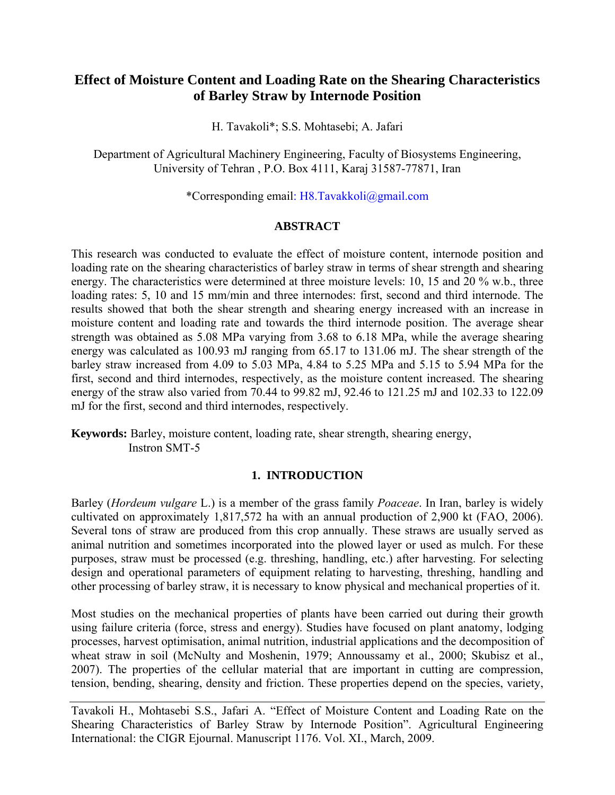# **Effect of Moisture Content and Loading Rate on the Shearing Characteristics of Barley Straw by Internode Position**

H. Tavakoli\*; S.S. Mohtasebi; A. Jafari

Department of Agricultural Machinery Engineering, Faculty of Biosystems Engineering, University of Tehran , P.O. Box 4111, Karaj 31587-77871, Iran

\*Corresponding email: [H8.Tavakkoli@gmail.com](mailto:H8.Tavakkoli@gmail.com)

### **ABSTRACT**

This research was conducted to evaluate the effect of moisture content, internode position and loading rate on the shearing characteristics of barley straw in terms of shear strength and shearing energy. The characteristics were determined at three moisture levels: 10, 15 and 20 % w.b., three loading rates: 5, 10 and 15 mm/min and three internodes: first, second and third internode. The results showed that both the shear strength and shearing energy increased with an increase in moisture content and loading rate and towards the third internode position. The average shear strength was obtained as 5.08 MPa varying from 3.68 to 6.18 MPa, while the average shearing energy was calculated as 100.93 mJ ranging from 65.17 to 131.06 mJ. The shear strength of the barley straw increased from 4.09 to 5.03 MPa, 4.84 to 5.25 MPa and 5.15 to 5.94 MPa for the first, second and third internodes, respectively, as the moisture content increased. The shearing energy of the straw also varied from 70.44 to 99.82 mJ, 92.46 to 121.25 mJ and 102.33 to 122.09 mJ for the first, second and third internodes, respectively.

**Keywords:** Barley, moisture content, loading rate, shear strength, shearing energy, Instron SMT-5

### **1. INTRODUCTION**

Barley (*Hordeum vulgare* L.) is a member of the grass family *[Poaceae](http://en.wikipedia.org/wiki/Poaceae)*. In Iran, barley is widely cultivated on approximately 1,817,572 ha with an annual production of 2,900 kt (FAO, 2006). Several tons of straw are produced from this crop annually. These straws are usually served as animal nutrition and sometimes incorporated into the plowed layer or used as mulch. For these purposes, straw must be processed (e.g. threshing, handling, etc.) after harvesting. For selecting design and operational parameters of equipment relating to harvesting, threshing, handling and other processing of barley straw, it is necessary to know physical and mechanical properties of it.

Most studies on the mechanical properties of plants have been carried out during their growth using failure criteria (force, stress and energy). Studies have focused on plant anatomy, lodging processes, harvest optimisation, animal nutrition, industrial applications and the decomposition of wheat straw in soil (McNulty and Moshenin, 1979; Annoussamy et al., 2000; Skubisz et al., 2007). The properties of the cellular material that are important in cutting are compression, tension, bending, shearing, density and friction. These properties depend on the species, variety,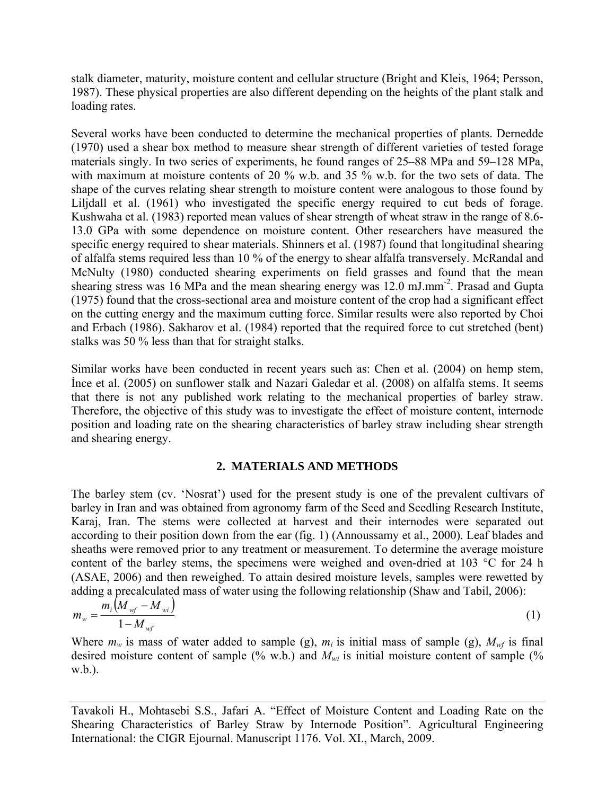stalk diameter, maturity, moisture content and cellular structure (Bright and Kleis, 1964; Persson, 1987). These physical properties are also different depending on the heights of the plant stalk and loading rates.

Several works have been conducted to determine the mechanical properties of plants. Dernedde (1970) used a shear box method to measure shear strength of different varieties of tested forage materials singly. In two series of experiments, he found ranges of 25–88 MPa and 59–128 MPa, with maximum at moisture contents of 20 % w.b. and 35 % w.b. for the two sets of data. The shape of the curves relating shear strength to moisture content were analogous to those found by Liljdall et al. (1961) who investigated the specific energy required to cut beds of forage. Kushwaha et al. (1983) reported mean values of shear strength of wheat straw in the range of 8.6- 13.0 GPa with some dependence on moisture content. Other researchers have measured the specific energy required to shear materials. Shinners et al. (1987) found that longitudinal shearing of alfalfa stems required less than 10 % of the energy to shear alfalfa transversely. McRandal and McNulty (1980) conducted shearing experiments on field grasses and found that the mean shearing stress was 16 MPa and the mean shearing energy was 12.0 mJ.mm-2. Prasad and Gupta (1975) found that the cross-sectional area and moisture content of the crop had a significant effect on the cutting energy and the maximum cutting force. Similar results were also reported by Choi and Erbach (1986). Sakharov et al. (1984) reported that the required force to cut stretched (bent) stalks was 50 % less than that for straight stalks.

Similar works have been conducted in recent years such as: Chen et al. (2004) on hemp stem, İnce et al. (2005) on sunflower stalk and Nazari Galedar et al. (2008) on alfalfa stems. It seems that there is not any published work relating to the mechanical properties of barley straw. Therefore, the objective of this study was to investigate the effect of moisture content, internode position and loading rate on the shearing characteristics of barley straw including shear strength and shearing energy.

### **2. MATERIALS AND METHODS**

The barley stem (cv. 'Nosrat') used for the present study is one of the prevalent cultivars of barley in Iran and was obtained from agronomy farm of the Seed and Seedling Research Institute, Karaj, Iran. The stems were collected at harvest and their internodes were separated out according to their position down from the ear (fig. 1) (Annoussamy et al., 2000). Leaf blades and sheaths were removed prior to any treatment or measurement. To determine the average moisture content of the barley stems, the specimens were weighed and oven-dried at 103 °C for 24 h (ASAE, 2006) and then reweighed. To attain desired moisture levels, samples were rewetted by adding a precalculated mass of water using the following relationship (Shaw and Tabil, 2006):

$$
m_{w} = \frac{m_{i}(M_{wf} - M_{wi})}{1 - M_{wf}}
$$
(1)

Where  $m_w$  is mass of water added to sample (g),  $m_i$  is initial mass of sample (g),  $M_{wf}$  is final desired moisture content of sample (% w.b.) and  $M_{wi}$  is initial moisture content of sample (% w.b.).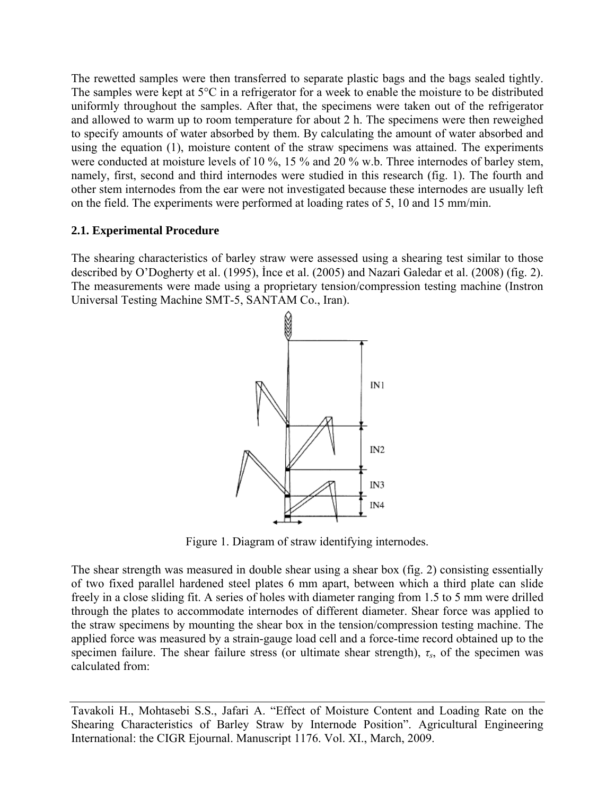The rewetted samples were then transferred to separate plastic bags and the bags sealed tightly. The samples were kept at 5°C in a refrigerator for a week to enable the moisture to be distributed uniformly throughout the samples. After that, the specimens were taken out of the refrigerator and allowed to warm up to room temperature for about 2 h. The specimens were then reweighed to specify amounts of water absorbed by them. By calculating the amount of water absorbed and using the equation (1), moisture content of the straw specimens was attained. The experiments were conducted at moisture levels of 10 %, 15 % and 20 % w.b. Three internodes of barley stem, namely, first, second and third internodes were studied in this research (fig. 1). The fourth and other stem internodes from the ear were not investigated because these internodes are usually left on the field. The experiments were performed at loading rates of 5, 10 and 15 mm/min.

## **2.1. Experimental Procedure**

The shearing characteristics of barley straw were assessed using a shearing test similar to those described by O'Dogherty et al. (1995), İnce et al. (2005) and Nazari Galedar et al. (2008) (fig. 2). The measurements were made using a proprietary tension/compression testing machine (Instron Universal Testing Machine SMT-5, SANTAM Co., Iran).



Figure 1. Diagram of straw identifying internodes.

The shear strength was measured in double shear using a shear box (fig. 2) consisting essentially of two fixed parallel hardened steel plates 6 mm apart, between which a third plate can slide freely in a close sliding fit. A series of holes with diameter ranging from 1.5 to 5 mm were drilled through the plates to accommodate internodes of different diameter. Shear force was applied to the straw specimens by mounting the shear box in the tension/compression testing machine. The applied force was measured by a strain-gauge load cell and a force-time record obtained up to the specimen failure. The shear failure stress (or ultimate shear strength),  $\tau_s$ , of the specimen was calculated from: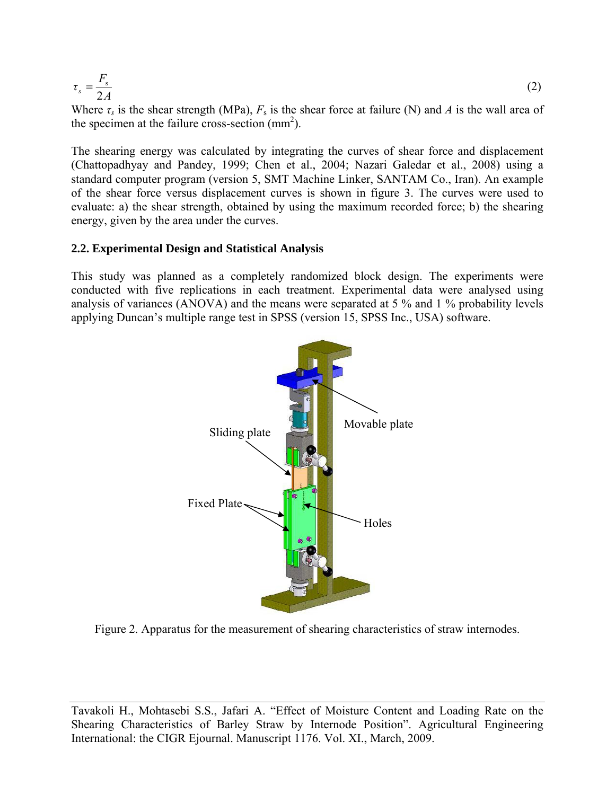$$
\tau_s = \frac{F_s}{2A} \tag{2}
$$

Where  $\tau_s$  is the shear strength (MPa),  $F_s$  is the shear force at failure (N) and *A* is the wall area of the specimen at the failure cross-section  $\text{(mm}^2)$ .

The shearing energy was calculated by integrating the curves of shear force and displacement (Chattopadhyay and Pandey, 1999; Chen et al., 2004; Nazari Galedar et al., 2008) using a standard computer program (version 5, SMT Machine Linker, SANTAM Co., Iran). An example of the shear force versus displacement curves is shown in figure 3. The curves were used to evaluate: a) the shear strength, obtained by using the maximum recorded force; b) the shearing energy, given by the area under the curves.

#### **2.2. Experimental Design and Statistical Analysis**

This study was planned as a completely randomized block design. The experiments were conducted with five replications in each treatment. Experimental data were analysed using analysis of variances (ANOVA) and the means were separated at 5 % and 1 % probability levels applying Duncan's multiple range test in SPSS (version 15, SPSS Inc., USA) software.



Figure 2. Apparatus for the measurement of shearing characteristics of straw internodes.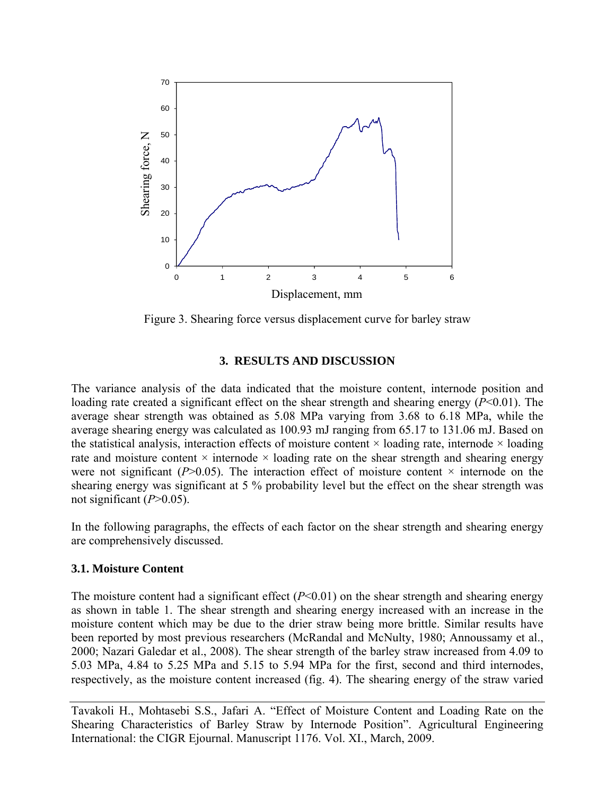

Figure 3. Shearing force versus displacement curve for barley straw

#### **3. RESULTS AND DISCUSSION**

The variance analysis of the data indicated that the moisture content, internode position and loading rate created a significant effect on the shear strength and shearing energy (*P*<0.01). The average shear strength was obtained as 5.08 MPa varying from 3.68 to 6.18 MPa, while the average shearing energy was calculated as 100.93 mJ ranging from 65.17 to 131.06 mJ. Based on the statistical analysis, interaction effects of moisture content  $\times$  loading rate, internode  $\times$  loading rate and moisture content  $\times$  internode  $\times$  loading rate on the shear strength and shearing energy were not significant ( $P > 0.05$ ). The interaction effect of moisture content  $\times$  internode on the shearing energy was significant at 5 % probability level but the effect on the shear strength was not significant  $(P>0.05)$ .

In the following paragraphs, the effects of each factor on the shear strength and shearing energy are comprehensively discussed.

#### **3.1. Moisture Content**

The moisture content had a significant effect  $(P<0.01)$  on the shear strength and shearing energy as shown in table 1. The shear strength and shearing energy increased with an increase in the moisture content which may be due to the drier straw being more brittle. Similar results have been reported by most previous researchers (McRandal and McNulty, 1980; Annoussamy et al., 2000; Nazari Galedar et al., 2008). The shear strength of the barley straw increased from 4.09 to 5.03 MPa, 4.84 to 5.25 MPa and 5.15 to 5.94 MPa for the first, second and third internodes, respectively, as the moisture content increased (fig. 4). The shearing energy of the straw varied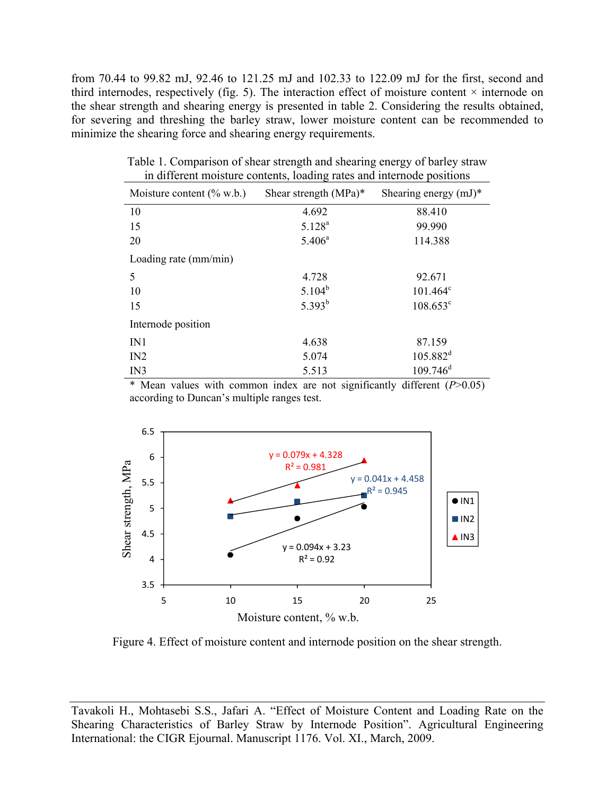from 70.44 to 99.82 mJ, 92.46 to 121.25 mJ and 102.33 to 122.09 mJ for the first, second and third internodes, respectively (fig. 5). The interaction effect of moisture content  $\times$  internode on the shear strength and shearing energy is presented in table 2. Considering the results obtained, for severing and threshing the barley straw, lower moisture content can be recommended to minimize the shearing force and shearing energy requirements.

| Moisture content $(\%$ w.b.) | Shear strength $(MPa)^*$ | Shearing energy $(mJ)^*$ |
|------------------------------|--------------------------|--------------------------|
| 10                           | 4.692                    | 88.410                   |
| 15                           | $5.128^{a}$              | 99.990                   |
| 20                           | $5.406^a$                | 114.388                  |
| Loading rate (mm/min)        |                          |                          |
| 5                            | 4.728                    | 92.671                   |
| 10                           | $5.104^{b}$              | $101.464^c$              |
| 15                           | $5.393^{b}$              | $108.653^{\circ}$        |
| Internode position           |                          |                          |
| IN1                          | 4.638                    | 87.159                   |
| IN2                          | 5.074                    | $105.882^d$              |
| IN3                          | 5.513                    | $109.746$ <sup>d</sup>   |

Table 1. Comparison of shear strength and shearing energy of barley straw in different moisture contents, loading rates and internode positions

\* Mean values with common index are not significantly different (*P*>0.05) according to Duncan's multiple ranges test.



Figure 4. Effect of moisture content and internode position on the shear strength.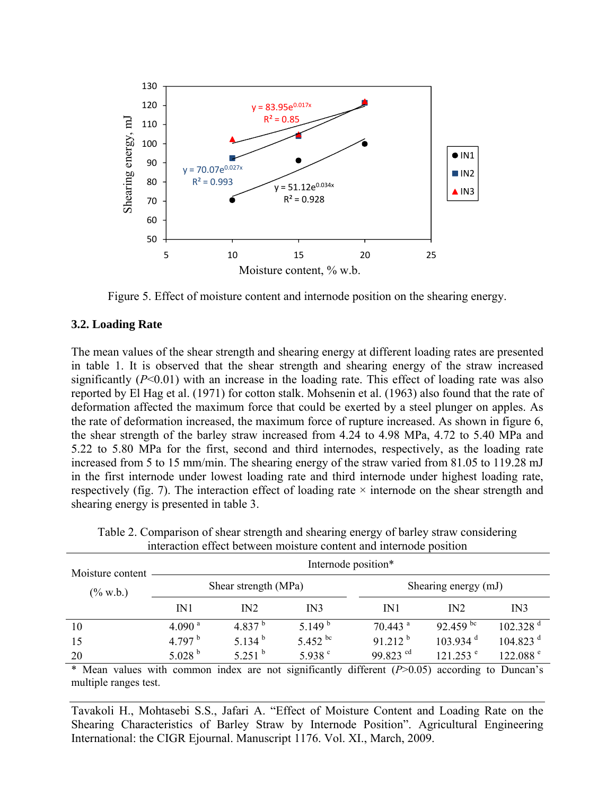

Figure 5. Effect of moisture content and internode position on the shearing energy.

### **3.2. Loading Rate**

The mean values of the shear strength and shearing energy at different loading rates are presented in table 1. It is observed that the shear strength and shearing energy of the straw increased significantly (*P*<0.01) with an increase in the loading rate. This effect of loading rate was also reported by El Hag et al. (1971) for cotton stalk. Mohsenin et al. (1963) also found that the rate of deformation affected the maximum force that could be exerted by a steel plunger on apples. As the rate of deformation increased, the maximum force of rupture increased. As shown in figure 6, the shear strength of the barley straw increased from 4.24 to 4.98 MPa, 4.72 to 5.40 MPa and 5.22 to 5.80 MPa for the first, second and third internodes, respectively, as the loading rate increased from 5 to 15 mm/min. The shearing energy of the straw varied from 81.05 to 119.28 mJ in the first internode under lowest loading rate and third internode under highest loading rate, respectively (fig. 7). The interaction effect of loading rate  $\times$  internode on the shear strength and shearing energy is presented in table 3.

| Moisture content | Internode position*  |                  |                  |                       |                        |                        |  |
|------------------|----------------------|------------------|------------------|-----------------------|------------------------|------------------------|--|
| $(\% w.b.)$      | Shear strength (MPa) |                  |                  | Shearing energy (mJ)  |                        |                        |  |
|                  | IN1                  | IN2              | IN3              | IN1                   | IN2                    | IN3                    |  |
| 10               | 4.090 <sup>a</sup>   | 4.837 $b$        | 5.149 $^{\rm b}$ | $70.443$ <sup>a</sup> | 92.459 bc              | $102.328$ <sup>d</sup> |  |
| 15               | 4.797 $^{\rm b}$     | 5.134 $^{\rm b}$ | 5.452 bc         | $91.212^{b}$          | $103.934$ <sup>d</sup> | $104.823$ <sup>d</sup> |  |
| 20               | 5.028 $^{\rm b}$     | $5251^{b}$       | 5.938 $^{\circ}$ | 99.823 $^{cd}$        | $121.253$ <sup>e</sup> | 122.088 <sup>e</sup>   |  |

Table 2. Comparison of shear strength and shearing energy of barley straw considering interaction effect between moisture content and internode position

\* Mean values with common index are not significantly different (*P*>0.05) according to Duncan's multiple ranges test.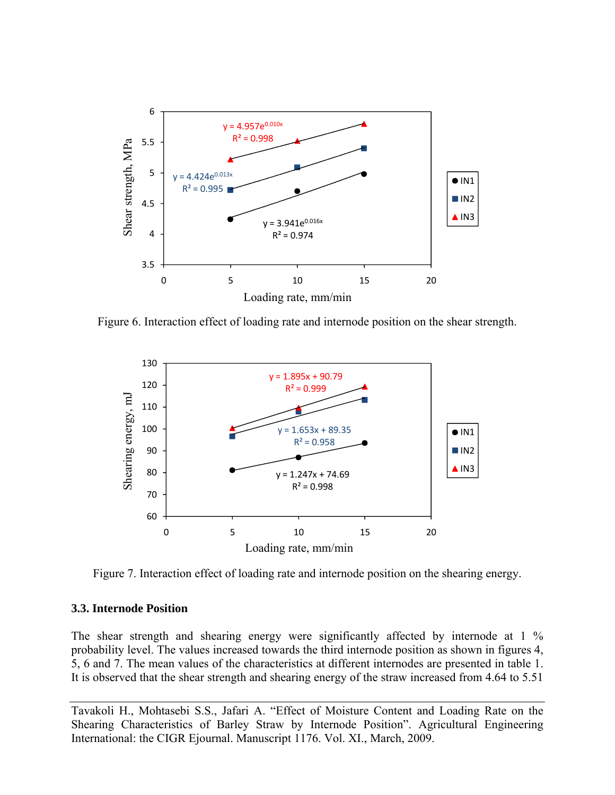

Figure 6. Interaction effect of loading rate and internode position on the shear strength.



Figure 7. Interaction effect of loading rate and internode position on the shearing energy.

#### **3.3. Internode Position**

The shear strength and shearing energy were significantly affected by internode at 1 % probability level. The values increased towards the third internode position as shown in figures 4, 5, 6 and 7. The mean values of the characteristics at different internodes are presented in table 1. It is observed that the shear strength and shearing energy of the straw increased from 4.64 to 5.51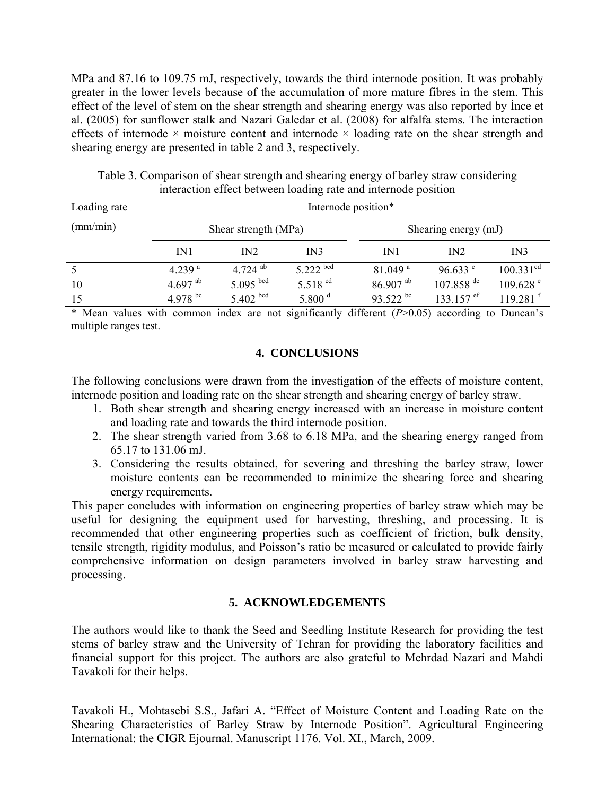MPa and 87.16 to 109.75 mJ, respectively, towards the third internode position. It was probably greater in the lower levels because of the accumulation of more mature fibres in the stem. This effect of the level of stem on the shear strength and shearing energy was also reported by İnce et al. (2005) for sunflower stalk and Nazari Galedar et al. (2008) for alfalfa stems. The interaction effects of internode  $\times$  moisture content and internode  $\times$  loading rate on the shear strength and shearing energy are presented in table 2 and 3, respectively.

| Loading rate | Internode position*  |               |                  |                        |                                   |                        |  |
|--------------|----------------------|---------------|------------------|------------------------|-----------------------------------|------------------------|--|
| (mm/min)     | Shear strength (MPa) |               |                  |                        | Shearing energy (mJ)              |                        |  |
|              | IN1                  | IN2           | IN3              | IN1                    | IN2                               | IN3                    |  |
| 5            | 4.239 <sup>a</sup>   | 4.724 $^{ab}$ | $5.222$ bcd      | $81.049$ <sup>a</sup>  | 96.633 $^{\circ}$                 | 100.331 <sup>cd</sup>  |  |
| 10           | 4.697 $^{ab}$        | $5.095$ bcd   | 5.518 $^{cd}$    | $86.907$ <sup>ab</sup> | $107.858$ <sup>de</sup>           | $109.628$ <sup>e</sup> |  |
| 15           | 4.978 bc             | $5.402$ bcd   | 5.800 $^{\rm d}$ | 93.522 bc              | 133.157 $\mathrm{e}^{\mathrm{f}}$ | 119 281 $f$            |  |

Table 3. Comparison of shear strength and shearing energy of barley straw considering interaction effect between loading rate and internode position

\* Mean values with common index are not significantly different (*P*>0.05) according to Duncan's multiple ranges test.

### **4. CONCLUSIONS**

The following conclusions were drawn from the investigation of the effects of moisture content, internode position and loading rate on the shear strength and shearing energy of barley straw.

- 1. Both shear strength and shearing energy increased with an increase in moisture content and loading rate and towards the third internode position.
- 2. The shear strength varied from 3.68 to 6.18 MPa, and the shearing energy ranged from 65.17 to 131.06 mJ.
- 3. Considering the results obtained, for severing and threshing the barley straw, lower moisture contents can be recommended to minimize the shearing force and shearing energy requirements.

This paper concludes with information on engineering properties of barley straw which may be useful for designing the equipment used for harvesting, threshing, and processing. It is recommended that other engineering properties such as coefficient of friction, bulk density, tensile strength, rigidity modulus, and Poisson's ratio be measured or calculated to provide fairly comprehensive information on design parameters involved in barley straw harvesting and processing.

## **5. ACKNOWLEDGEMENTS**

The authors would like to thank the Seed and Seedling Institute Research for providing the test stems of barley straw and the University of Tehran for providing the laboratory facilities and financial support for this project. The authors are also grateful to Mehrdad Nazari and Mahdi Tavakoli for their helps.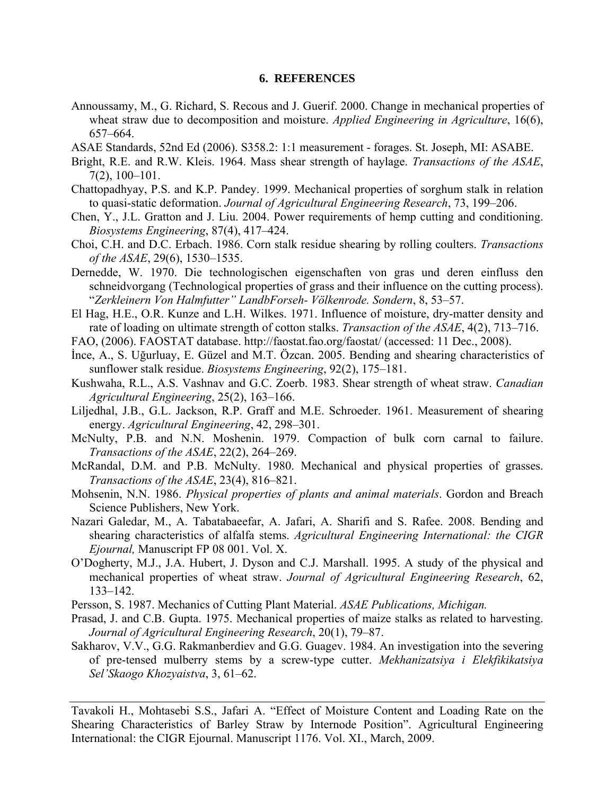#### **6. REFERENCES**

- Annoussamy, M., G. Richard, S. Recous and J. Guerif. 2000. Change in mechanical properties of wheat straw due to decomposition and moisture. *Applied Engineering in Agriculture*, 16(6), 657–664.
- ASAE Standards, 52nd Ed (2006). S358.2: 1:1 measurement forages. St. Joseph, MI: ASABE.
- Bright, R.E. and R.W. Kleis. 1964. Mass shear strength of haylage. *Transactions of the ASAE*, 7(2), 100–101.
- Chattopadhyay, P.S. and K.P. Pandey. 1999. Mechanical properties of sorghum stalk in relation to quasi-static deformation. *Journal of Agricultural Engineering Research*, 73, 199–206.
- Chen, Y., J.L. Gratton and J. Liu. 2004. Power requirements of hemp cutting and conditioning. *Biosystems Engineering*, 87(4), 417–424.
- Choi, C.H. and D.C. Erbach. 1986. Corn stalk residue shearing by rolling coulters. *Transactions of the ASAE*, 29(6), 1530–1535.
- Dernedde, W. 1970. Die technologischen eigenschaften von gras und deren einfluss den schneidvorgang (Technological properties of grass and their influence on the cutting process). "*Zerkleinern Von Halmfutter" LandbForseh- Völkenrode. Sondern*, 8, 53–57.
- El Hag, H.E., O.R. Kunze and L.H. Wilkes. 1971. Influence of moisture, dry-matter density and rate of loading on ultimate strength of cotton stalks. *Transaction of the ASAE*, 4(2), 713–716.
- FAO, (2006). FAOSTAT database. http://faostat.fao.org/faostat/ (accessed: 11 Dec., 2008).
- İnce, A., S. Uğurluay, E. Güzel and M.T. Özcan. 2005. Bending and shearing characteristics of sunflower stalk residue. *Biosystems Engineering*, 92(2), 175–181.
- Kushwaha, R.L., A.S. Vashnav and G.C. Zoerb. 1983. Shear strength of wheat straw. *Canadian Agricultural Engineering*, 25(2), 163–166.
- Liljedhal, J.B., G.L. Jackson, R.P. Graff and M.E. Schroeder. 1961. Measurement of shearing energy. *Agricultural Engineering*, 42, 298–301.
- McNulty, P.B. and N.N. Moshenin. 1979. Compaction of bulk corn carnal to failure. *Transactions of the ASAE*, 22(2), 264–269.
- McRandal, D.M. and P.B. McNulty. 1980. Mechanical and physical properties of grasses. *Transactions of the ASAE*, 23(4), 816–821.
- Mohsenin, N.N. 1986. *Physical properties of plants and animal materials*. Gordon and Breach Science Publishers, New York.
- Nazari Galedar, M., A. Tabatabaeefar, A. Jafari, A. Sharifi and S. Rafee. 2008. Bending and shearing characteristics of alfalfa stems. *Agricultural Engineering International: the CIGR Ejournal,* Manuscript FP 08 001. Vol. X.
- O'Dogherty, M.J., J.A. Hubert, J. Dyson and C.J. Marshall. 1995. A study of the physical and mechanical properties of wheat straw. *Journal of Agricultural Engineering Research*, 62, 133–142.
- Persson, S. 1987. Mechanics of Cutting Plant Material. *ASAE Publications, Michigan.*
- Prasad, J. and C.B. Gupta. 1975. Mechanical properties of maize stalks as related to harvesting. *Journal of Agricultural Engineering Research*, 20(1), 79–87.
- Sakharov, V.V., G.G. Rakmanberdiev and G.G. Guagev. 1984. An investigation into the severing of pre-tensed mulberry stems by a screw-type cutter. *Mekhanizatsiya i Elekfikikatsiya Sel'Skaogo Khozyaistva*, 3, 61–62.